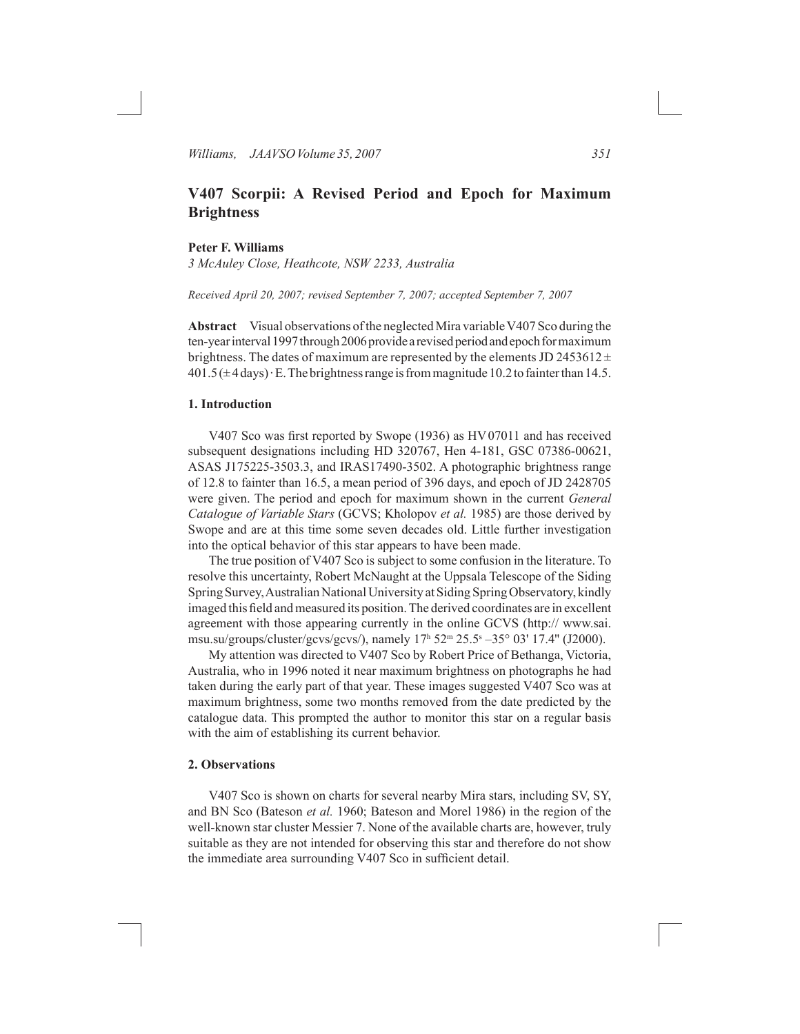# **V407 Scorpii: A Revised Period and Epoch for Maximum Brightness**

### **Peter F. Williams**

*3 McAuley Close, Heathcote, NSW 2233, Australia*

*Received April 20, 2007; revised September 7, 2007; accepted September 7, 2007*

**Abstract** Visual observations ofthe neglected Mira variableV407 Sco during the ten-year interval 1997 through 2006 provide a revised period and epoch for maximum brightness. The dates of maximum are represented by the elements JD 2453612 $\pm$  $401.5(\pm 4 \text{ days})\cdot E$ . The brightness range is from magnitude 10.2 to fainter than 14.5.

# **1. Introduction**

 V407 Sco was first reported by Swope (1936) as HV07011 and has received subsequent designations including HD 320767, Hen 4-181, GSC 07386-00621, ASAS J175225-3503.3, and IRAS17490-3502. A photographic brightness range of 12.8 to fainter than 16.5, a mean period of 396 days, and epoch of JD 2428705 were given. The period and epoch for maximum shown in the current *General Catalogue of Variable Stars* (GCVS; Kholopov *et al.* 1985) are those derived by Swope and are at this time some seven decades old. Little further investigation into the optical behavior of this star appears to have been made.

The true position of V407 Sco is subject to some confusion in the literature. To resolve this uncertainty, Robert McNaught at the Uppsala Telescope of the Siding Spring Survey, Australian National University at Siding Spring Observatory, kindly imaged this field and measured its position. The derived coordinates are in excellent agreement with those appearing currently in the online GCVS (http:// www.sai. msu.su/groups/cluster/gcvs/gcvs/), namely 17<sup>h</sup> 52m 25.5s –35° 03' 17.4'' (J2000).

 My attention was directed to V407 Sco by Robert Price of Bethanga, Victoria, Australia, who in 1996 noted it near maximum brightness on photographs he had taken during the early part of that year. These images suggested V407 Sco was at maximum brightness, some two months removed from the date predicted by the catalogue data. This prompted the author to monitor this star on a regular basis with the aim of establishing its current behavior.

### **2. Observations**

 V407 Sco is shown on charts for several nearby Mira stars, including SV, SY, and BN Sco (Bateson *et al.* 1960; Bateson and Morel 1986) in the region of the well-known star cluster Messier 7. None of the available charts are, however, truly suitable as they are not intended for observing this star and therefore do not show the immediate area surrounding V407 Sco in sufficient detail.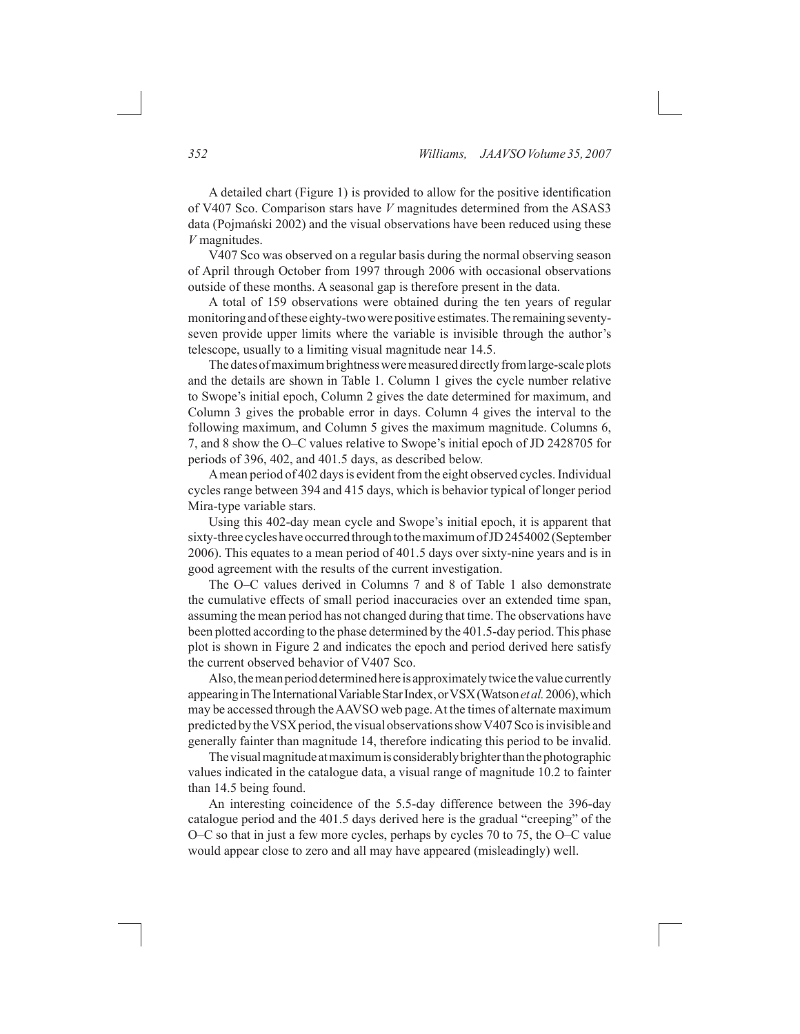A detailed chart (Figure 1) is provided to allow for the positive identification of V407 Sco. Comparison stars have *V* magnitudes determined from the ASAS3 data (Pojmański 2002) and the visual observations have been reduced using these *V* magnitudes.

V407 Sco was observed on a regular basis during the normal observing season of April through October from 1997 through 2006 with occasional observations outside of these months. A seasonal gap is therefore present in the data.

A total of 159 observations were obtained during the ten years of regular monitoring and of these eighty-two were positive estimates. The remaining seventyseven provide upper limits where the variable is invisible through the author's telescope, usually to a limiting visual magnitude near 14.5.

The dates of maximum brightness were measured directly from large-scale plots and the details are shown in Table 1. Column 1 gives the cycle number relative to Swope's initial epoch, Column 2 gives the date determined for maximum, and Column 3 gives the probable error in days. Column 4 gives the interval to the following maximum, and Column 5 gives the maximum magnitude. Columns 6, 7, and 8 show the O–C values relative to Swope's initial epoch of JD 2428705 for periods of 396, 402, and 401.5 days, as described below.

A mean period of 402 days is evident from the eight observed cycles. Individual cycles range between 394 and 415 days, which is behavior typical of longer period Mira-type variable stars.

 Using this 402-day mean cycle and Swope's initial epoch, it is apparent that sixty-three cycles have occurred through to the maximum of JD 2454002 (September 2006). This equates to a mean period of 401.5 days over sixty-nine years and is in good agreement with the results of the current investigation.

 The O–C values derived in Columns 7 and 8 of Table 1 also demonstrate the cumulative effects of small period inaccuracies over an extended time span, assuming the mean period has not changed during that time. The observations have been plotted according to the phase determined by the 401.5-day period.This phase plot is shown in Figure 2 and indicates the epoch and period derived here satisfy the current observed behavior of V407 Sco.

Also, the mean period determined here is approximately twice the value currently appearing in The International Variable Star Index, or VSX (Watson *et al.* 2006), which may be accessed through theAAVSO web page.At the times of alternate maximum predicted by the VSX period, the visual observations show V407 Sco is invisible and generally fainter than magnitude 14, therefore indicating this period to be invalid.

The visual magnitude at maximum is considerably brighter than the photographic values indicated in the catalogue data, a visual range of magnitude 10.2 to fainter than 14.5 being found.

An interesting coincidence of the 5.5-day difference between the 396-day catalogue period and the 401.5 days derived here is the gradual "creeping" of the O–C so that in just a few more cycles, perhaps by cycles 70 to 75, the O–C value would appear close to zero and all may have appeared (misleadingly) well.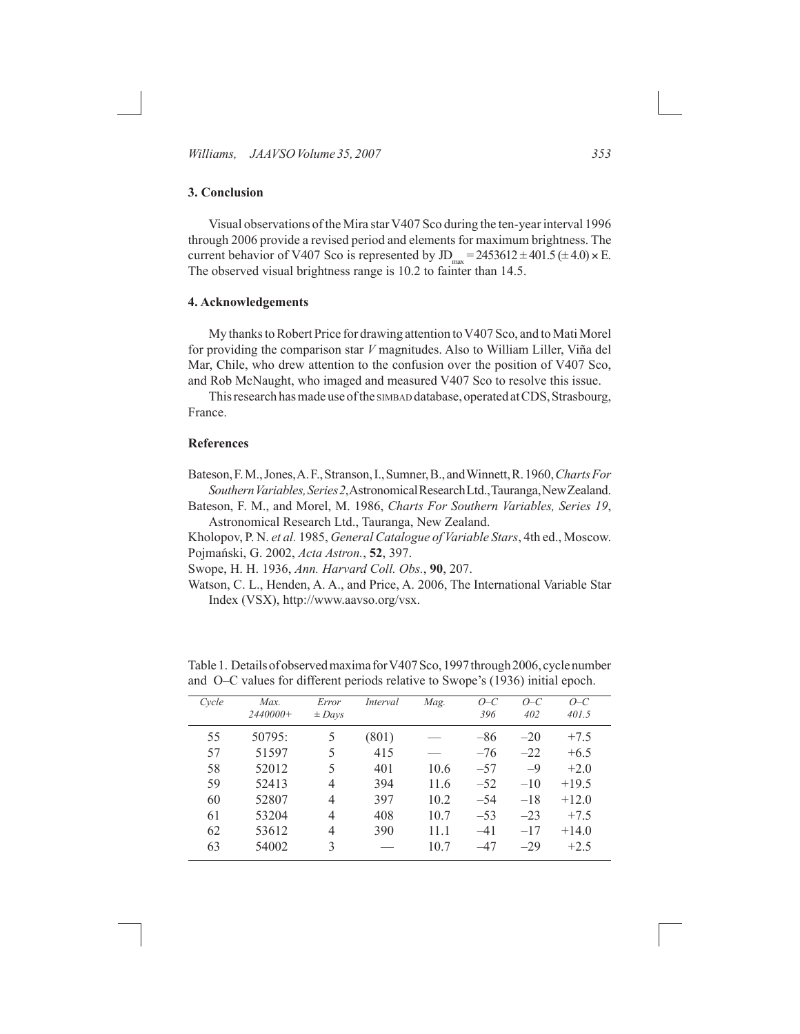*Williams, JAAVSO Volume* 35, 2007 **353** 

# **3. Conclusion**

Visual observations of the Mira star V407 Sco during the ten-year interval 1996 through 2006 provide a revised period and elements for maximum brightness. The current behavior of V407 Sco is represented by JD<sub>max</sub> =  $2453612 \pm 401.5 \ (\pm 4.0) \times E$ . The observed visual brightness range is 10.2 to fainter than 14.5.

### **4. Acknowledgements**

My thanks to Robert Price for drawing attention to V407 Sco, and to Mati Morel for providing the comparison star *V* magnitudes. Also to William Liller, Viña del Mar, Chile, who drew attention to the confusion over the position of V407 Sco, and Rob McNaught, who imaged and measured V407 Sco to resolve this issue.

This research has made use of the simbap database, operated at CDS, Strasbourg, France.

### **References**

Bateson,F.M.,Jones,A.F.,Stranson,I.,Sumner,B.,andWinnett,R.1960,*ChartsFor SouthernVariables,Series2*,AstronomicalResearchLtd.,Tauranga,NewZealand.

Bateson, F. M., and Morel, M. 1986, *Charts For Southern Variables, Series 19*, Astronomical Research Ltd., Tauranga, New Zealand.

Kholopov, P. N. *et al.* 1985, *General Catalogue of Variable Stars*, 4th ed., Moscow. Pojmański, G. 2002, *Acta Astron.*, **52**, 397.

Swope, H. H. 1936, *Ann. Harvard Coll. Obs.*, **90**, 207.

Watson, C. L., Henden, A. A., and Price, A. 2006, The International Variable Star Index (VSX), http://www.aavso.org/vsx.

| Cycle | Max.<br>$2440000+$ | Error<br>$\pm$ Days | Interval | Mag. | $O-C$<br>396 | $O-C$<br>402 | $O-C$<br>401.5 |
|-------|--------------------|---------------------|----------|------|--------------|--------------|----------------|
| 55    | 50795:             | 5                   | (801)    |      | $-86$        | $-20$        | $+7.5$         |
| 57    | 51597              | 5                   | 415      |      | $-76$        | $-22$        | $+6.5$         |
| 58    | 52012              | 5                   | 401      | 10.6 | $-57$        | $-9$         | $+2.0$         |
| 59    | 52413              | $\overline{4}$      | 394      | 11.6 | $-52$        | $-10$        | $+19.5$        |
| 60    | 52807              | 4                   | 397      | 10.2 | $-54$        | $-18$        | $+12.0$        |
| 61    | 53204              | $\overline{4}$      | 408      | 10.7 | $-53$        | $-23$        | $+7.5$         |
| 62    | 53612              | 4                   | 390      | 11.1 | $-41$        | $-17$        | $+14.0$        |
| 63    | 54002              | $\mathbf{3}$        |          | 10.7 | $-47$        | $-29$        | $+2.5$         |

Table 1. Details of observed maxima for V407Sco, 1997 through 2006, cycle number and O–C values for different periods relative to Swope's (1936) initial epoch.